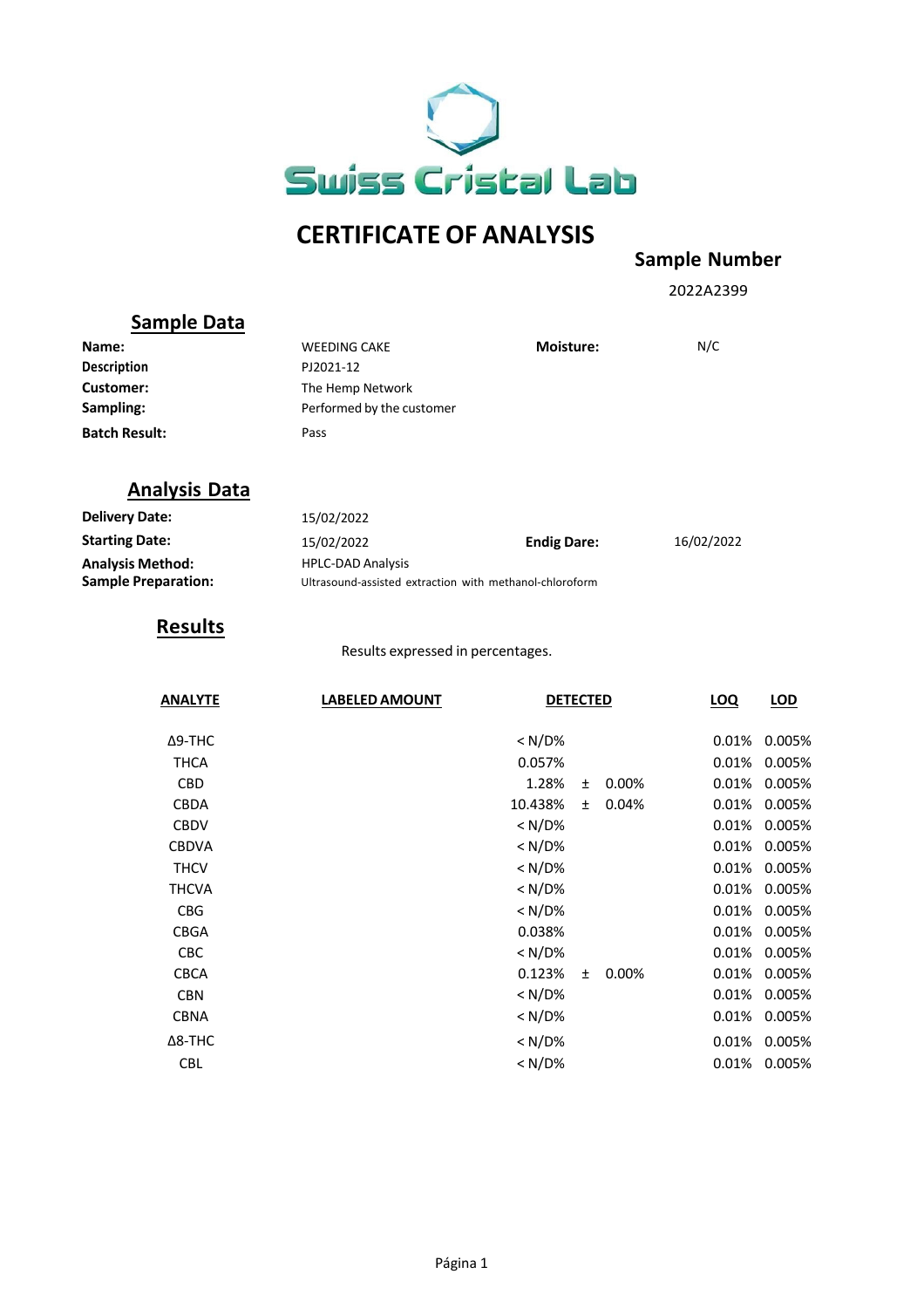

# **CERTIFICATE OF ANALYSIS**

## **Sample Number**

2022A2399

#### **Sample Data**

| Name:                | <b>WEEDING CAKE</b>       | <b>Moisture:</b> | N/C |
|----------------------|---------------------------|------------------|-----|
| <b>Description</b>   | PJ2021-12                 |                  |     |
| Customer:            | The Hemp Network          |                  |     |
| Sampling:            | Performed by the customer |                  |     |
| <b>Batch Result:</b> | Pass                      |                  |     |

### **Analysis Data**

| <b>Delivery Date:</b>      | 15/02/2022                                              |                    |            |
|----------------------------|---------------------------------------------------------|--------------------|------------|
| <b>Starting Date:</b>      | 15/02/2022                                              | <b>Endig Dare:</b> | 16/02/2022 |
| <b>Analysis Method:</b>    | <b>HPLC-DAD Analysis</b>                                |                    |            |
| <b>Sample Preparation:</b> | Ultrasound-assisted extraction with methanol-chloroform |                    |            |

## **Results**

Results expressed in percentages.

| <b>ANALYTE</b> | <b>LABELED AMOUNT</b> | <b>DETECTED</b> |       |       | <b>LOQ</b> | LOD    |
|----------------|-----------------------|-----------------|-------|-------|------------|--------|
| Δ9-THC         |                       | $< N/D\%$       |       |       | 0.01%      | 0.005% |
| THCA           |                       | 0.057%          |       |       | 0.01%      | 0.005% |
| <b>CBD</b>     |                       | 1.28%           | $\pm$ | 0.00% | 0.01%      | 0.005% |
| <b>CBDA</b>    |                       | 10.438%         | Ŧ     | 0.04% | 0.01%      | 0.005% |
| <b>CBDV</b>    |                       | $< N/D\%$       |       |       | 0.01%      | 0.005% |
| <b>CBDVA</b>   |                       | $< N/D\%$       |       |       | 0.01%      | 0.005% |
| <b>THCV</b>    |                       | $< N/D\%$       |       |       | 0.01%      | 0.005% |
| <b>THCVA</b>   |                       | $< N/D\%$       |       |       | 0.01%      | 0.005% |
| <b>CBG</b>     |                       | $< N/D\%$       |       |       | 0.01%      | 0.005% |
| <b>CBGA</b>    |                       | 0.038%          |       |       | 0.01%      | 0.005% |
| <b>CBC</b>     |                       | $< N/D\%$       |       |       | 0.01%      | 0.005% |
| <b>CBCA</b>    |                       | 0.123%          | $\pm$ | 0.00% | 0.01%      | 0.005% |
| <b>CBN</b>     |                       | $< N/D\%$       |       |       | 0.01%      | 0.005% |
| <b>CBNA</b>    |                       | $< N/D\%$       |       |       | 0.01%      | 0.005% |
| $\Delta$ 8-THC |                       | $< N/D\%$       |       |       | 0.01%      | 0.005% |
| <b>CBL</b>     |                       | < N/D%          |       |       | 0.01%      | 0.005% |